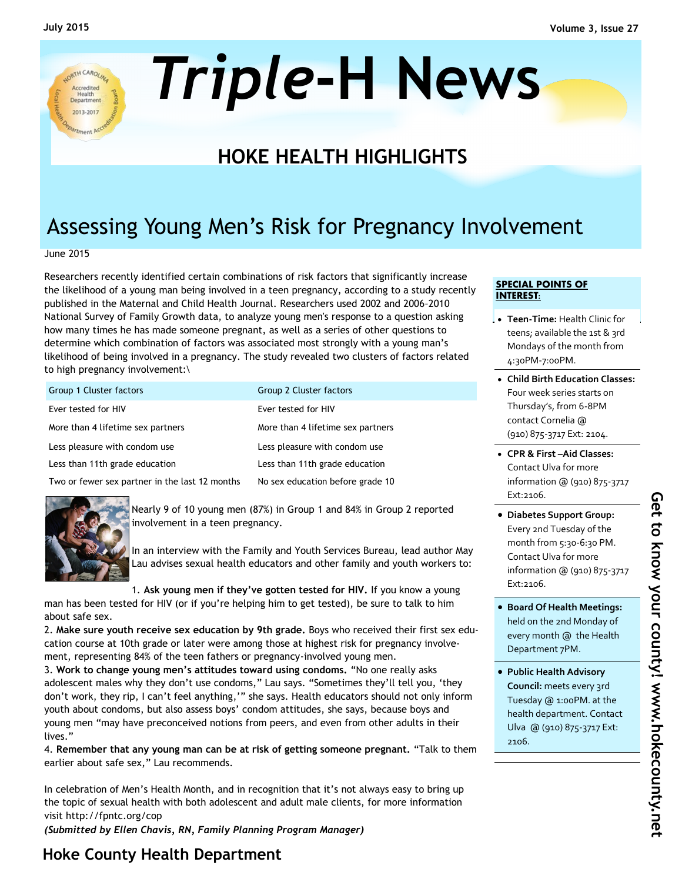

# *Triple***-H News**

## **HOKE HEALTH HIGHLIGHTS**

# Assessing Young Men's Risk for Pregnancy Involvement

June 2015

Researchers recently identified certain combinations of risk factors that significantly increase the likelihood of a young man being involved in a teen pregnancy, according to a study recently published in the Maternal and Child Health Journal. Researchers used 2002 and 2006–2010 National Survey of Family Growth data, to analyze young men's response to a question asking how many times he has made someone pregnant, as well as a series of other questions to determine which combination of factors was associated most strongly with a young man's likelihood of being involved in a pregnancy. The study revealed two clusters of factors related to high pregnancy involvement:\

| Group 1 Cluster factors                        | Group 2 Cluster factors           |
|------------------------------------------------|-----------------------------------|
| Ever tested for HIV                            | Ever tested for HIV               |
| More than 4 lifetime sex partners              | More than 4 lifetime sex partners |
| Less pleasure with condom use                  | Less pleasure with condom use     |
| Less than 11th grade education                 | Less than 11th grade education    |
| Two or fewer sex partner in the last 12 months | No sex education before grade 10  |



Nearly 9 of 10 young men (87%) in Group 1 and 84% in Group 2 reported involvement in a teen pregnancy.

In an interview with the Family and Youth Services Bureau, lead author May Lau advises sexual health educators and other family and youth workers to:

1. **Ask young men if they've gotten tested for HIV.** If you know a young man has been tested for HIV (or if you're helping him to get tested), be sure to talk to him about safe sex.

2. **Make sure youth receive sex education by 9th grade.** Boys who received their first sex education course at 10th grade or later were among those at highest risk for pregnancy involvement, representing 84% of the teen fathers or pregnancy-involved young men.

3. **Work to change young men's attitudes toward using condoms.** "No one really asks adolescent males why they don't use condoms," Lau says. "Sometimes they'll tell you, 'they don't work, they rip, I can't feel anything,'" she says. Health educators should not only inform youth about condoms, but also assess boys' condom attitudes, she says, because boys and young men "may have preconceived notions from peers, and even from other adults in their lives."

4. **Remember that any young man can be at risk of getting someone pregnant.** "Talk to them earlier about safe sex," Lau recommends.

In celebration of Men's Health Month, and in recognition that it's not always easy to bring up the topic of sexual health with both adolescent and adult male clients, for more information visit http://fpntc.org/cop

*(Submitted by Ellen Chavis, RN, Family Planning Program Manager)*

#### **SPECIAL POINTS OF INTEREST:**

- **Teen-Time:** Health Clinic for teens; available the 1st & 3rd Mondays of the month from 4:30PM-7:00PM.
- **Child Birth Education Classes:**  Four week series starts on Thursday's, from 6-8PM contact Cornelia @ (910) 875-3717 Ext: 2104.
- **CPR & First –Aid Classes:**  Contact Ulva for more information @ (910) 875-3717 Ext:2106.
- **Diabetes Support Group:**  Every 2nd Tuesday of the month from 5:30-6:30 PM. Contact Ulva for more information @ (910) 875-3717 Ext:2106.
- **Board Of Health Meetings:**  held on the 2nd Monday of every month @ the Health Department 7PM.
- **Public Health Advisory Council:** meets every 3rd Tuesday @ 1:00PM. at the health department. Contact Ulva @ (910) 875-3717 Ext: 2106.

## **Hoke County Health Department**